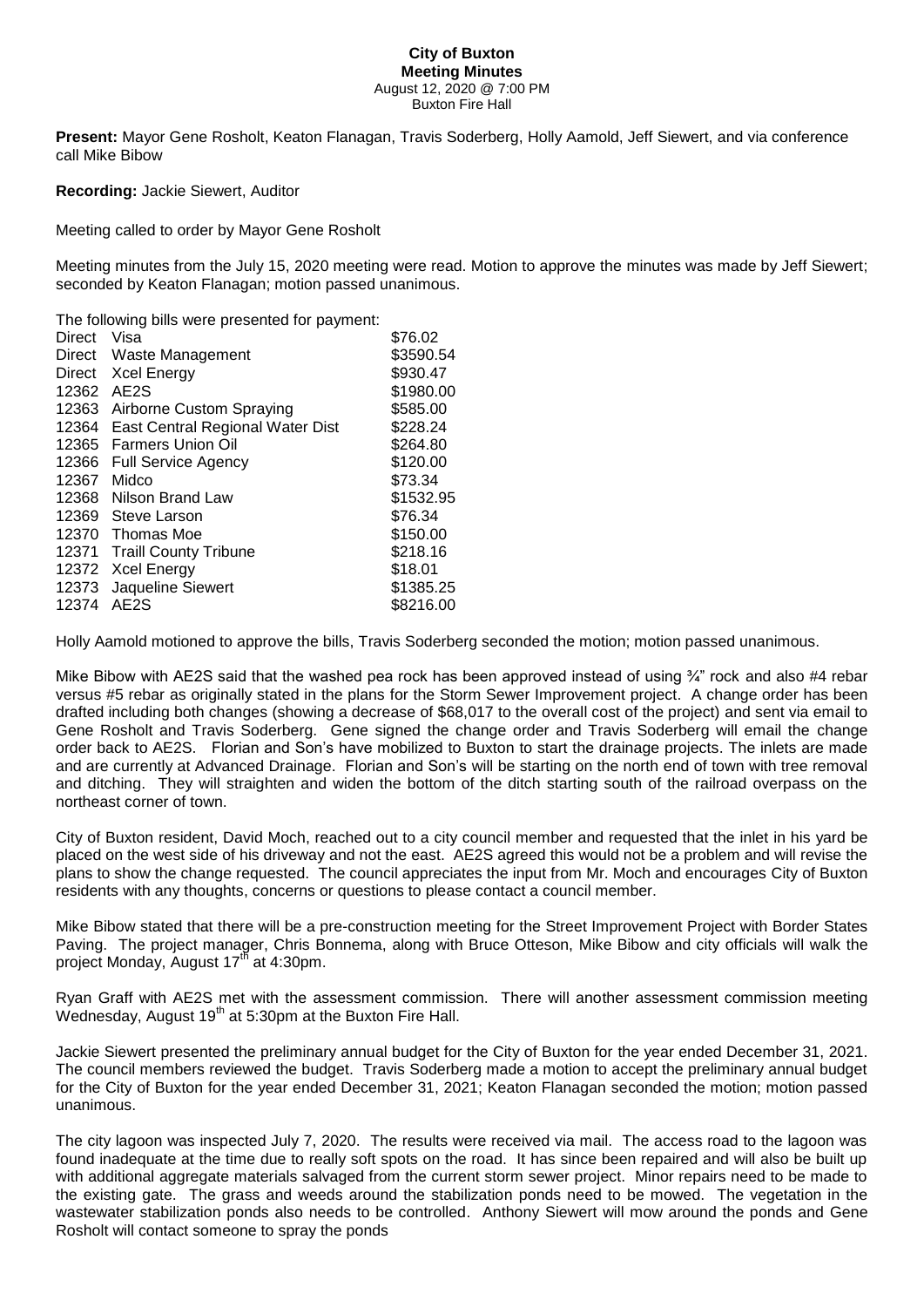## **City of Buxton Meeting Minutes** August 12, 2020 @ 7:00 PM Buxton Fire Hall

**Present:** Mayor Gene Rosholt, Keaton Flanagan, Travis Soderberg, Holly Aamold, Jeff Siewert, and via conference call Mike Bibow

**Recording:** Jackie Siewert, Auditor

Meeting called to order by Mayor Gene Rosholt

Meeting minutes from the July 15, 2020 meeting were read. Motion to approve the minutes was made by Jeff Siewert; seconded by Keaton Flanagan; motion passed unanimous.

The following bills were presented for payment:

| <b>Direct</b> | Visa                             | \$76.02   |
|---------------|----------------------------------|-----------|
| Direct        | Waste Management                 | \$3590.54 |
| Direct        | Xcel Energy                      | \$930.47  |
| 12362         | AE <sub>2</sub> S                | \$1980.00 |
| 12363         | Airborne Custom Spraying         | \$585.00  |
| 12364         | East Central Regional Water Dist | \$228.24  |
| 12365         | <b>Farmers Union Oil</b>         | \$264.80  |
| 12366         | <b>Full Service Agency</b>       | \$120.00  |
| 12367         | Midco                            | \$73.34   |
| 12368         | Nilson Brand Law                 | \$1532.95 |
| 12369         | Steve Larson                     | \$76.34   |
| 12370         | Thomas Moe                       | \$150.00  |
| 12371         | <b>Traill County Tribune</b>     | \$218.16  |
| 12372         | <b>Xcel Energy</b>               | \$18.01   |
| 12373         | Jaqueline Siewert                | \$1385.25 |
| 12374         | AE <sub>2</sub> S                | \$8216.00 |

Holly Aamold motioned to approve the bills, Travis Soderberg seconded the motion; motion passed unanimous.

Mike Bibow with AE2S said that the washed pea rock has been approved instead of using  $\frac{3}{4}$ " rock and also #4 rebar versus #5 rebar as originally stated in the plans for the Storm Sewer Improvement project. A change order has been drafted including both changes (showing a decrease of \$68,017 to the overall cost of the project) and sent via email to Gene Rosholt and Travis Soderberg. Gene signed the change order and Travis Soderberg will email the change order back to AE2S. Florian and Son's have mobilized to Buxton to start the drainage projects. The inlets are made and are currently at Advanced Drainage. Florian and Son's will be starting on the north end of town with tree removal and ditching. They will straighten and widen the bottom of the ditch starting south of the railroad overpass on the northeast corner of town.

City of Buxton resident, David Moch, reached out to a city council member and requested that the inlet in his yard be placed on the west side of his driveway and not the east. AE2S agreed this would not be a problem and will revise the plans to show the change requested. The council appreciates the input from Mr. Moch and encourages City of Buxton residents with any thoughts, concerns or questions to please contact a council member.

Mike Bibow stated that there will be a pre-construction meeting for the Street Improvement Project with Border States Paving. The project manager, Chris Bonnema, along with Bruce Otteson, Mike Bibow and city officials will walk the project Monday, August 17th at 4:30pm.

Ryan Graff with AE2S met with the assessment commission. There will another assessment commission meeting Wednesday, August  $19<sup>th</sup>$  at 5:30pm at the Buxton Fire Hall.

Jackie Siewert presented the preliminary annual budget for the City of Buxton for the year ended December 31, 2021. The council members reviewed the budget. Travis Soderberg made a motion to accept the preliminary annual budget for the City of Buxton for the year ended December 31, 2021; Keaton Flanagan seconded the motion; motion passed unanimous.

The city lagoon was inspected July 7, 2020. The results were received via mail. The access road to the lagoon was found inadequate at the time due to really soft spots on the road. It has since been repaired and will also be built up with additional aggregate materials salvaged from the current storm sewer project. Minor repairs need to be made to the existing gate. The grass and weeds around the stabilization ponds need to be mowed. The vegetation in the wastewater stabilization ponds also needs to be controlled. Anthony Siewert will mow around the ponds and Gene Rosholt will contact someone to spray the ponds